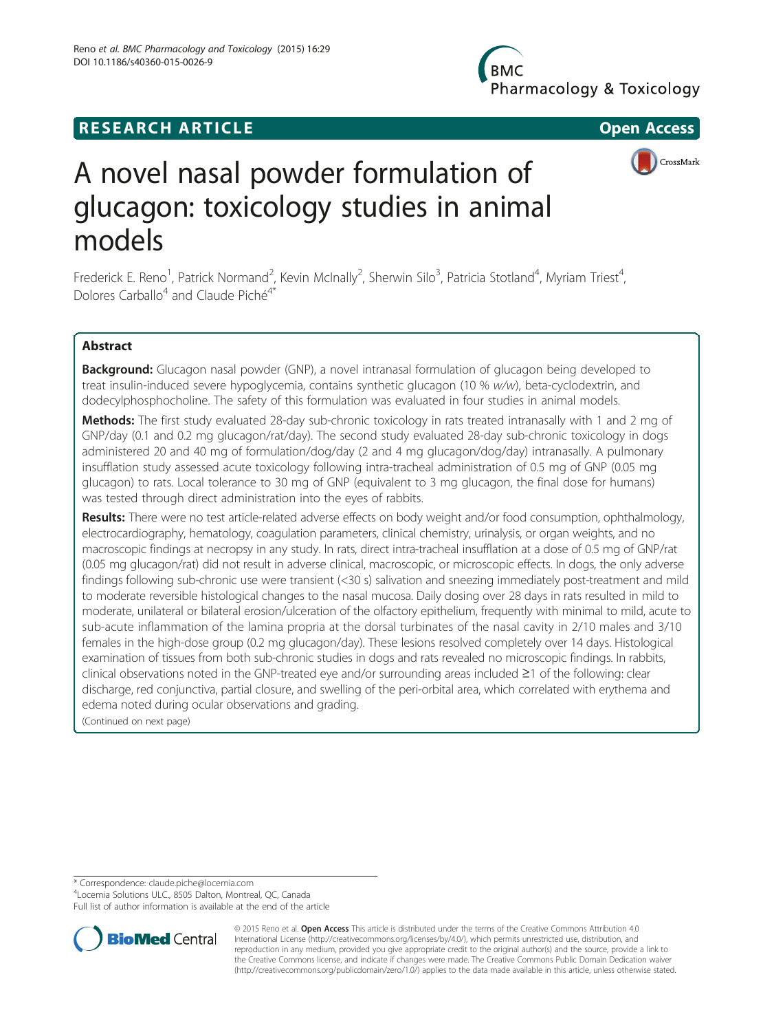DOI 10.1186/s40360-015-0026-9

Reno et al. BMC Pharmacology and Toxicology (2015) 16:29



# A novel nasal powder formulation of glucagon: toxicology studies in animal models

Frederick E. Reno<sup>1</sup>, Patrick Normand<sup>2</sup>, Kevin McInally<sup>2</sup>, Sherwin Silo<sup>3</sup>, Patricia Stotland<sup>4</sup>, Myriam Triest<sup>4</sup> , Dolores Carballo<sup>4</sup> and Claude Piché<sup>4\*</sup>

## Abstract

**Background:** Glucagon nasal powder (GNP), a novel intranasal formulation of glucagon being developed to treat insulin-induced severe hypoglycemia, contains synthetic glucagon (10 % w/w), beta-cyclodextrin, and dodecylphosphocholine. The safety of this formulation was evaluated in four studies in animal models.

Methods: The first study evaluated 28-day sub-chronic toxicology in rats treated intranasally with 1 and 2 mg of GNP/day (0.1 and 0.2 mg glucagon/rat/day). The second study evaluated 28-day sub-chronic toxicology in dogs administered 20 and 40 mg of formulation/dog/day (2 and 4 mg glucagon/dog/day) intranasally. A pulmonary insufflation study assessed acute toxicology following intra-tracheal administration of 0.5 mg of GNP (0.05 mg glucagon) to rats. Local tolerance to 30 mg of GNP (equivalent to 3 mg glucagon, the final dose for humans) was tested through direct administration into the eyes of rabbits.

Results: There were no test article-related adverse effects on body weight and/or food consumption, ophthalmology, electrocardiography, hematology, coagulation parameters, clinical chemistry, urinalysis, or organ weights, and no macroscopic findings at necropsy in any study. In rats, direct intra-tracheal insufflation at a dose of 0.5 mg of GNP/rat (0.05 mg glucagon/rat) did not result in adverse clinical, macroscopic, or microscopic effects. In dogs, the only adverse findings following sub-chronic use were transient (<30 s) salivation and sneezing immediately post-treatment and mild to moderate reversible histological changes to the nasal mucosa. Daily dosing over 28 days in rats resulted in mild to moderate, unilateral or bilateral erosion/ulceration of the olfactory epithelium, frequently with minimal to mild, acute to sub-acute inflammation of the lamina propria at the dorsal turbinates of the nasal cavity in 2/10 males and 3/10 females in the high-dose group (0.2 mg glucagon/day). These lesions resolved completely over 14 days. Histological examination of tissues from both sub-chronic studies in dogs and rats revealed no microscopic findings. In rabbits, clinical observations noted in the GNP-treated eye and/or surrounding areas included ≥1 of the following: clear discharge, red conjunctiva, partial closure, and swelling of the peri-orbital area, which correlated with erythema and edema noted during ocular observations and grading.

(Continued on next page)

\* Correspondence: [claude.piche@locemia.com](mailto:claude.piche@locemia.com) <sup>4</sup>

Locemia Solutions ULC., 8505 Dalton, Montreal, QC, Canada

Full list of author information is available at the end of the article



© 2015 Reno et al. Open Access This article is distributed under the terms of the Creative Commons Attribution 4.0 International License [\(http://creativecommons.org/licenses/by/4.0/](http://creativecommons.org/licenses/by/4.0/)), which permits unrestricted use, distribution, and reproduction in any medium, provided you give appropriate credit to the original author(s) and the source, provide a link to the Creative Commons license, and indicate if changes were made. The Creative Commons Public Domain Dedication waiver [\(http://creativecommons.org/publicdomain/zero/1.0/](http://creativecommons.org/publicdomain/zero/1.0/)) applies to the data made available in this article, unless otherwise stated.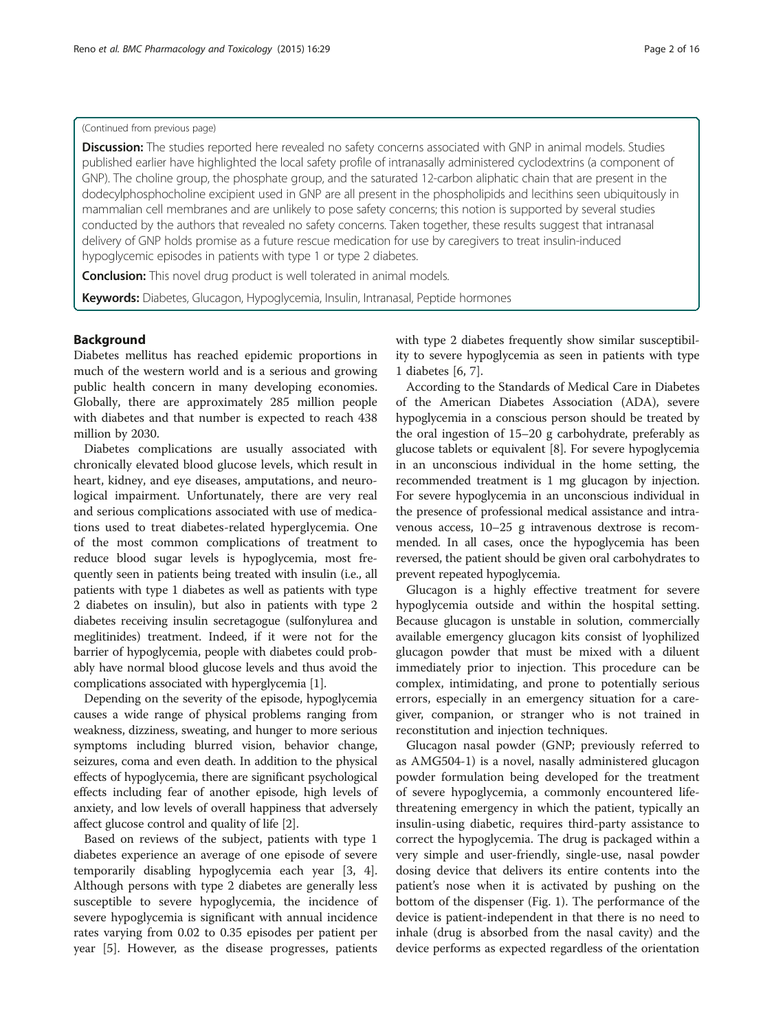## (Continued from previous page)

Discussion: The studies reported here revealed no safety concerns associated with GNP in animal models. Studies published earlier have highlighted the local safety profile of intranasally administered cyclodextrins (a component of GNP). The choline group, the phosphate group, and the saturated 12-carbon aliphatic chain that are present in the dodecylphosphocholine excipient used in GNP are all present in the phospholipids and lecithins seen ubiquitously in mammalian cell membranes and are unlikely to pose safety concerns; this notion is supported by several studies conducted by the authors that revealed no safety concerns. Taken together, these results suggest that intranasal delivery of GNP holds promise as a future rescue medication for use by caregivers to treat insulin-induced hypoglycemic episodes in patients with type 1 or type 2 diabetes.

**Conclusion:** This novel drug product is well tolerated in animal models.

Keywords: Diabetes, Glucagon, Hypoglycemia, Insulin, Intranasal, Peptide hormones

## Background

Diabetes mellitus has reached epidemic proportions in much of the western world and is a serious and growing public health concern in many developing economies. Globally, there are approximately 285 million people with diabetes and that number is expected to reach 438 million by 2030.

Diabetes complications are usually associated with chronically elevated blood glucose levels, which result in heart, kidney, and eye diseases, amputations, and neurological impairment. Unfortunately, there are very real and serious complications associated with use of medications used to treat diabetes-related hyperglycemia. One of the most common complications of treatment to reduce blood sugar levels is hypoglycemia, most frequently seen in patients being treated with insulin (i.e., all patients with type 1 diabetes as well as patients with type 2 diabetes on insulin), but also in patients with type 2 diabetes receiving insulin secretagogue (sulfonylurea and meglitinides) treatment. Indeed, if it were not for the barrier of hypoglycemia, people with diabetes could probably have normal blood glucose levels and thus avoid the complications associated with hyperglycemia [\[1](#page-14-0)].

Depending on the severity of the episode, hypoglycemia causes a wide range of physical problems ranging from weakness, dizziness, sweating, and hunger to more serious symptoms including blurred vision, behavior change, seizures, coma and even death. In addition to the physical effects of hypoglycemia, there are significant psychological effects including fear of another episode, high levels of anxiety, and low levels of overall happiness that adversely affect glucose control and quality of life [\[2\]](#page-14-0).

Based on reviews of the subject, patients with type 1 diabetes experience an average of one episode of severe temporarily disabling hypoglycemia each year [[3, 4](#page-14-0)]. Although persons with type 2 diabetes are generally less susceptible to severe hypoglycemia, the incidence of severe hypoglycemia is significant with annual incidence rates varying from 0.02 to 0.35 episodes per patient per year [\[5](#page-14-0)]. However, as the disease progresses, patients

with type 2 diabetes frequently show similar susceptibility to severe hypoglycemia as seen in patients with type 1 diabetes [[6, 7\]](#page-14-0).

According to the Standards of Medical Care in Diabetes of the American Diabetes Association (ADA), severe hypoglycemia in a conscious person should be treated by the oral ingestion of 15–20 g carbohydrate, preferably as glucose tablets or equivalent [\[8\]](#page-14-0). For severe hypoglycemia in an unconscious individual in the home setting, the recommended treatment is 1 mg glucagon by injection. For severe hypoglycemia in an unconscious individual in the presence of professional medical assistance and intravenous access, 10–25 g intravenous dextrose is recommended. In all cases, once the hypoglycemia has been reversed, the patient should be given oral carbohydrates to prevent repeated hypoglycemia.

Glucagon is a highly effective treatment for severe hypoglycemia outside and within the hospital setting. Because glucagon is unstable in solution, commercially available emergency glucagon kits consist of lyophilized glucagon powder that must be mixed with a diluent immediately prior to injection. This procedure can be complex, intimidating, and prone to potentially serious errors, especially in an emergency situation for a caregiver, companion, or stranger who is not trained in reconstitution and injection techniques.

Glucagon nasal powder (GNP; previously referred to as AMG504-1) is a novel, nasally administered glucagon powder formulation being developed for the treatment of severe hypoglycemia, a commonly encountered lifethreatening emergency in which the patient, typically an insulin-using diabetic, requires third-party assistance to correct the hypoglycemia. The drug is packaged within a very simple and user-friendly, single-use, nasal powder dosing device that delivers its entire contents into the patient's nose when it is activated by pushing on the bottom of the dispenser (Fig. [1](#page-2-0)). The performance of the device is patient-independent in that there is no need to inhale (drug is absorbed from the nasal cavity) and the device performs as expected regardless of the orientation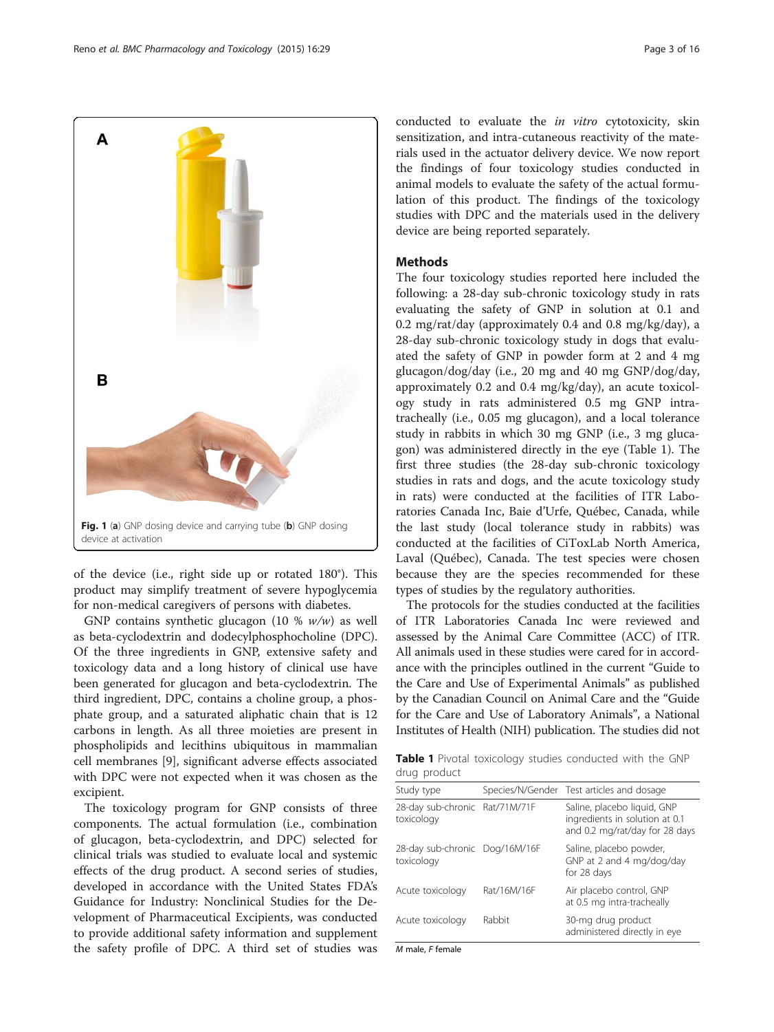<span id="page-2-0"></span>

of the device (i.e., right side up or rotated 180°). This product may simplify treatment of severe hypoglycemia for non-medical caregivers of persons with diabetes.

GNP contains synthetic glucagon (10 %  $w/w$ ) as well as beta-cyclodextrin and dodecylphosphocholine (DPC). Of the three ingredients in GNP, extensive safety and toxicology data and a long history of clinical use have been generated for glucagon and beta-cyclodextrin. The third ingredient, DPC, contains a choline group, a phosphate group, and a saturated aliphatic chain that is 12 carbons in length. As all three moieties are present in phospholipids and lecithins ubiquitous in mammalian cell membranes [[9\]](#page-14-0), significant adverse effects associated with DPC were not expected when it was chosen as the excipient.

The toxicology program for GNP consists of three components. The actual formulation (i.e., combination of glucagon, beta-cyclodextrin, and DPC) selected for clinical trials was studied to evaluate local and systemic effects of the drug product. A second series of studies, developed in accordance with the United States FDA's Guidance for Industry: Nonclinical Studies for the Development of Pharmaceutical Excipients, was conducted to provide additional safety information and supplement the safety profile of DPC. A third set of studies was

conducted to evaluate the in vitro cytotoxicity, skin sensitization, and intra-cutaneous reactivity of the materials used in the actuator delivery device. We now report the findings of four toxicology studies conducted in animal models to evaluate the safety of the actual formulation of this product. The findings of the toxicology studies with DPC and the materials used in the delivery device are being reported separately.

## Methods

The four toxicology studies reported here included the following: a 28-day sub-chronic toxicology study in rats evaluating the safety of GNP in solution at 0.1 and 0.2 mg/rat/day (approximately 0.4 and 0.8 mg/kg/day), a 28-day sub-chronic toxicology study in dogs that evaluated the safety of GNP in powder form at 2 and 4 mg glucagon/dog/day (i.e., 20 mg and 40 mg GNP/dog/day, approximately 0.2 and 0.4 mg/kg/day), an acute toxicology study in rats administered 0.5 mg GNP intratracheally (i.e., 0.05 mg glucagon), and a local tolerance study in rabbits in which 30 mg GNP (i.e., 3 mg glucagon) was administered directly in the eye (Table 1). The first three studies (the 28-day sub-chronic toxicology studies in rats and dogs, and the acute toxicology study in rats) were conducted at the facilities of ITR Laboratories Canada Inc, Baie d'Urfe, Québec, Canada, while the last study (local tolerance study in rabbits) was conducted at the facilities of CiToxLab North America, Laval (Québec), Canada. The test species were chosen because they are the species recommended for these types of studies by the regulatory authorities.

The protocols for the studies conducted at the facilities of ITR Laboratories Canada Inc were reviewed and assessed by the Animal Care Committee (ACC) of ITR. All animals used in these studies were cared for in accordance with the principles outlined in the current "Guide to the Care and Use of Experimental Animals" as published by the Canadian Council on Animal Care and the "Guide for the Care and Use of Laboratory Animals", a National Institutes of Health (NIH) publication. The studies did not

Table 1 Pivotal toxicology studies conducted with the GNP drug product

| Study type                                   |             | Species/N/Gender Test articles and dosage                                                       |
|----------------------------------------------|-------------|-------------------------------------------------------------------------------------------------|
| 28-day sub-chronic Rat/71M/71F<br>toxicology |             | Saline, placebo liquid, GNP<br>ingredients in solution at 0.1<br>and 0.2 mg/rat/day for 28 days |
| 28-day sub-chronic Dog/16M/16F<br>toxicology |             | Saline, placebo powder,<br>GNP at 2 and 4 mg/dog/day<br>for 28 days                             |
| Acute toxicology                             | Rat/16M/16F | Air placebo control, GNP<br>at 0.5 mg intra-tracheally                                          |
| Acute toxicology                             | Rabbit      | 30-mg drug product<br>administered directly in eye                                              |

M male, F female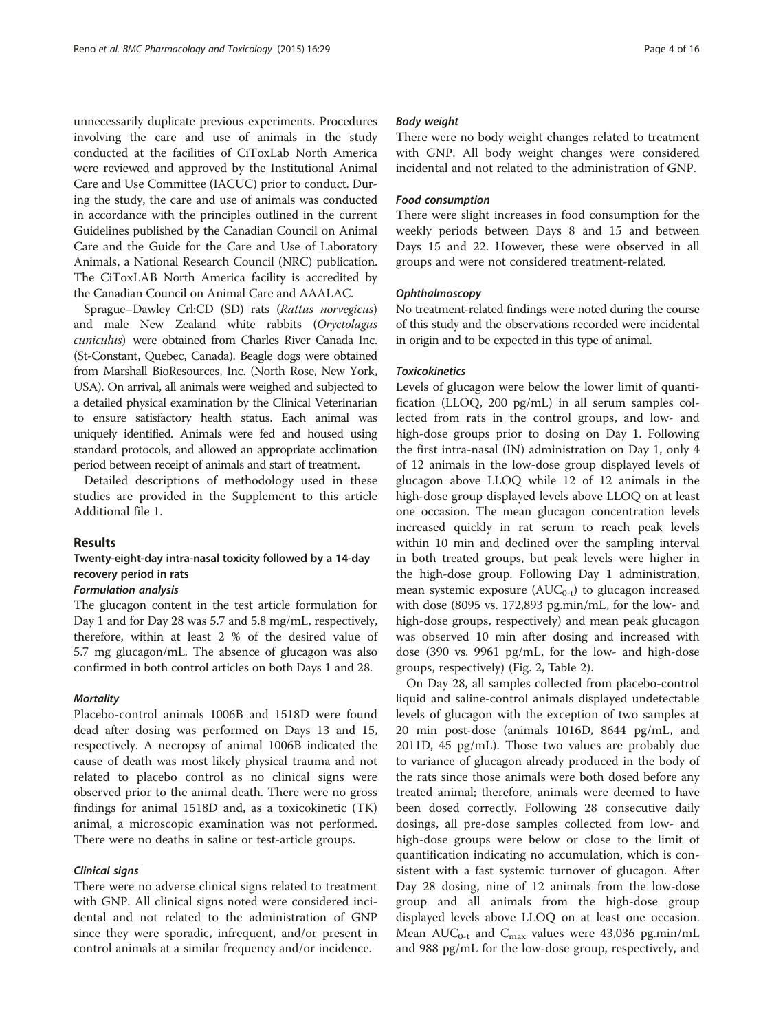unnecessarily duplicate previous experiments. Procedures involving the care and use of animals in the study conducted at the facilities of CiToxLab North America were reviewed and approved by the Institutional Animal Care and Use Committee (IACUC) prior to conduct. During the study, the care and use of animals was conducted in accordance with the principles outlined in the current Guidelines published by the Canadian Council on Animal Care and the Guide for the Care and Use of Laboratory Animals, a National Research Council (NRC) publication. The CiToxLAB North America facility is accredited by the Canadian Council on Animal Care and AAALAC.

Sprague–Dawley Crl:CD (SD) rats (Rattus norvegicus) and male New Zealand white rabbits (Oryctolagus cuniculus) were obtained from Charles River Canada Inc. (St-Constant, Quebec, Canada). Beagle dogs were obtained from Marshall BioResources, Inc. (North Rose, New York, USA). On arrival, all animals were weighed and subjected to a detailed physical examination by the Clinical Veterinarian to ensure satisfactory health status. Each animal was uniquely identified. Animals were fed and housed using standard protocols, and allowed an appropriate acclimation period between receipt of animals and start of treatment.

Detailed descriptions of methodology used in these studies are provided in the Supplement to this article Additional file [1.](#page-14-0)

## Results

## Twenty-eight-day intra-nasal toxicity followed by a 14-day recovery period in rats

## Formulation analysis

The glucagon content in the test article formulation for Day 1 and for Day 28 was 5.7 and 5.8 mg/mL, respectively, therefore, within at least 2 % of the desired value of 5.7 mg glucagon/mL. The absence of glucagon was also confirmed in both control articles on both Days 1 and 28.

## **Mortality**

Placebo-control animals 1006B and 1518D were found dead after dosing was performed on Days 13 and 15, respectively. A necropsy of animal 1006B indicated the cause of death was most likely physical trauma and not related to placebo control as no clinical signs were observed prior to the animal death. There were no gross findings for animal 1518D and, as a toxicokinetic (TK) animal, a microscopic examination was not performed. There were no deaths in saline or test-article groups.

## Clinical signs

There were no adverse clinical signs related to treatment with GNP. All clinical signs noted were considered incidental and not related to the administration of GNP since they were sporadic, infrequent, and/or present in control animals at a similar frequency and/or incidence.

## Body weight

There were no body weight changes related to treatment with GNP. All body weight changes were considered incidental and not related to the administration of GNP.

## Food consumption

There were slight increases in food consumption for the weekly periods between Days 8 and 15 and between Days 15 and 22. However, these were observed in all groups and were not considered treatment-related.

## **Ophthalmoscopy**

No treatment-related findings were noted during the course of this study and the observations recorded were incidental in origin and to be expected in this type of animal.

## **Toxicokinetics**

Levels of glucagon were below the lower limit of quantification (LLOQ, 200 pg/mL) in all serum samples collected from rats in the control groups, and low- and high-dose groups prior to dosing on Day 1. Following the first intra-nasal (IN) administration on Day 1, only 4 of 12 animals in the low-dose group displayed levels of glucagon above LLOQ while 12 of 12 animals in the high-dose group displayed levels above LLOQ on at least one occasion. The mean glucagon concentration levels increased quickly in rat serum to reach peak levels within 10 min and declined over the sampling interval in both treated groups, but peak levels were higher in the high-dose group. Following Day 1 administration, mean systemic exposure  $(AUC_{0-t})$  to glucagon increased with dose (8095 vs. 172,893 pg.min/mL, for the low- and high-dose groups, respectively) and mean peak glucagon was observed 10 min after dosing and increased with dose (390 vs. 9961 pg/mL, for the low- and high-dose groups, respectively) (Fig. [2](#page-4-0), Table [2\)](#page-4-0).

On Day 28, all samples collected from placebo-control liquid and saline-control animals displayed undetectable levels of glucagon with the exception of two samples at 20 min post-dose (animals 1016D, 8644 pg/mL, and 2011D, 45 pg/mL). Those two values are probably due to variance of glucagon already produced in the body of the rats since those animals were both dosed before any treated animal; therefore, animals were deemed to have been dosed correctly. Following 28 consecutive daily dosings, all pre-dose samples collected from low- and high-dose groups were below or close to the limit of quantification indicating no accumulation, which is consistent with a fast systemic turnover of glucagon. After Day 28 dosing, nine of 12 animals from the low-dose group and all animals from the high-dose group displayed levels above LLOQ on at least one occasion. Mean  $AUC_{0-t}$  and  $C_{\text{max}}$  values were 43,036 pg.min/mL and 988 pg/mL for the low-dose group, respectively, and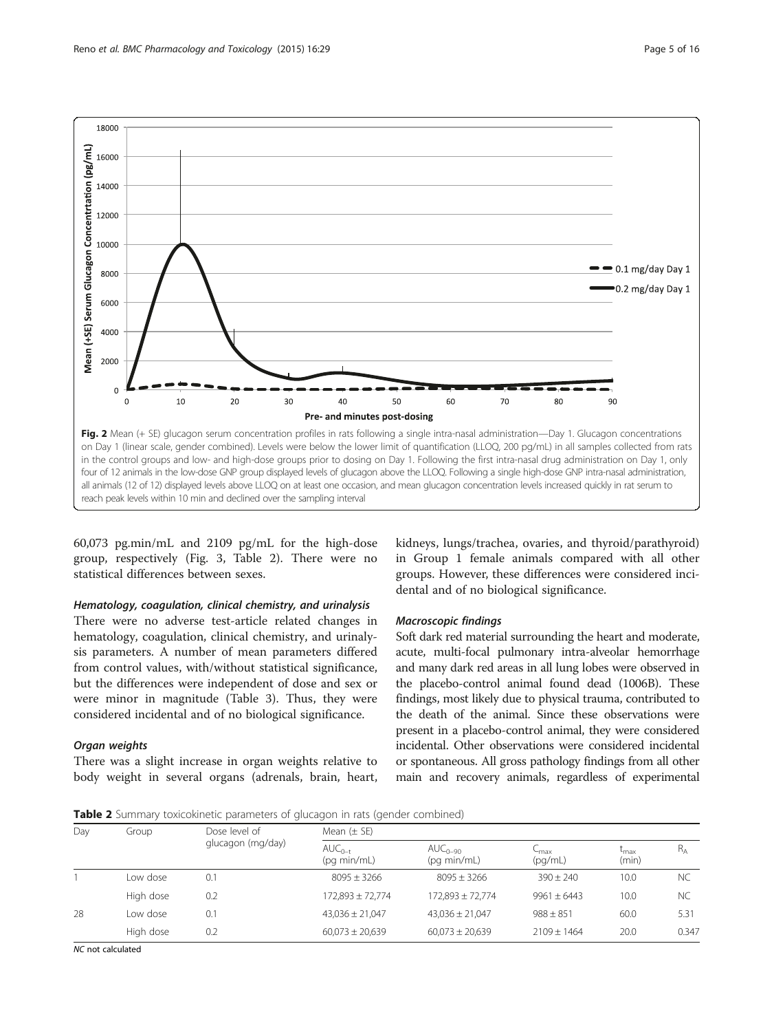<span id="page-4-0"></span>

60,073 pg.min/mL and 2109 pg/mL for the high-dose group, respectively (Fig. [3,](#page-5-0) Table 2). There were no statistical differences between sexes.

## Hematology, coagulation, clinical chemistry, and urinalysis

There were no adverse test-article related changes in hematology, coagulation, clinical chemistry, and urinalysis parameters. A number of mean parameters differed from control values, with/without statistical significance, but the differences were independent of dose and sex or were minor in magnitude (Table [3](#page-6-0)). Thus, they were considered incidental and of no biological significance.

## Organ weights

There was a slight increase in organ weights relative to body weight in several organs (adrenals, brain, heart,

kidneys, lungs/trachea, ovaries, and thyroid/parathyroid) in Group 1 female animals compared with all other groups. However, these differences were considered incidental and of no biological significance.

## Macroscopic findings

Soft dark red material surrounding the heart and moderate, acute, multi-focal pulmonary intra-alveolar hemorrhage and many dark red areas in all lung lobes were observed in the placebo-control animal found dead (1006B). These findings, most likely due to physical trauma, contributed to the death of the animal. Since these observations were present in a placebo-control animal, they were considered incidental. Other observations were considered incidental or spontaneous. All gross pathology findings from all other main and recovery animals, regardless of experimental

Table 2 Summary toxicokinetic parameters of glucagon in rats (gender combined)

| Day | Group     | Dose level of     | Mean $(\pm$ SE)            |                             |                                        |                           |           |  |  |
|-----|-----------|-------------------|----------------------------|-----------------------------|----------------------------------------|---------------------------|-----------|--|--|
|     |           | glucagon (mg/day) | $AUC_{n-t}$<br>(pq min/mL) | $AUC_{0-90}$<br>(pq min/mL) | $\mathsf{C}_{\mathsf{max}}$<br>(pq/mL) | $L_{\text{max}}$<br>(min) | $R_{A}$   |  |  |
|     | Low dose  | 0.1               | $8095 + 3266$              | $8095 + 3266$               | $390 + 240$                            | 10.0                      | <b>NC</b> |  |  |
|     | High dose | 0.2               | 172,893 ± 72,774           | 172,893 ± 72,774            | $9961 + 6443$                          | 10.0                      | <b>NC</b> |  |  |
| 28  | I ow dose | 0.1               | $43,036 \pm 21,047$        | $43,036 \pm 21,047$         | $988 + 851$                            | 60.0                      | 5.31      |  |  |
|     | High dose | 0.2               | $60.073 \pm 20.639$        | $60.073 \pm 20.639$         | $2109 + 1464$                          | 20.0                      | 0.347     |  |  |

NC not calculated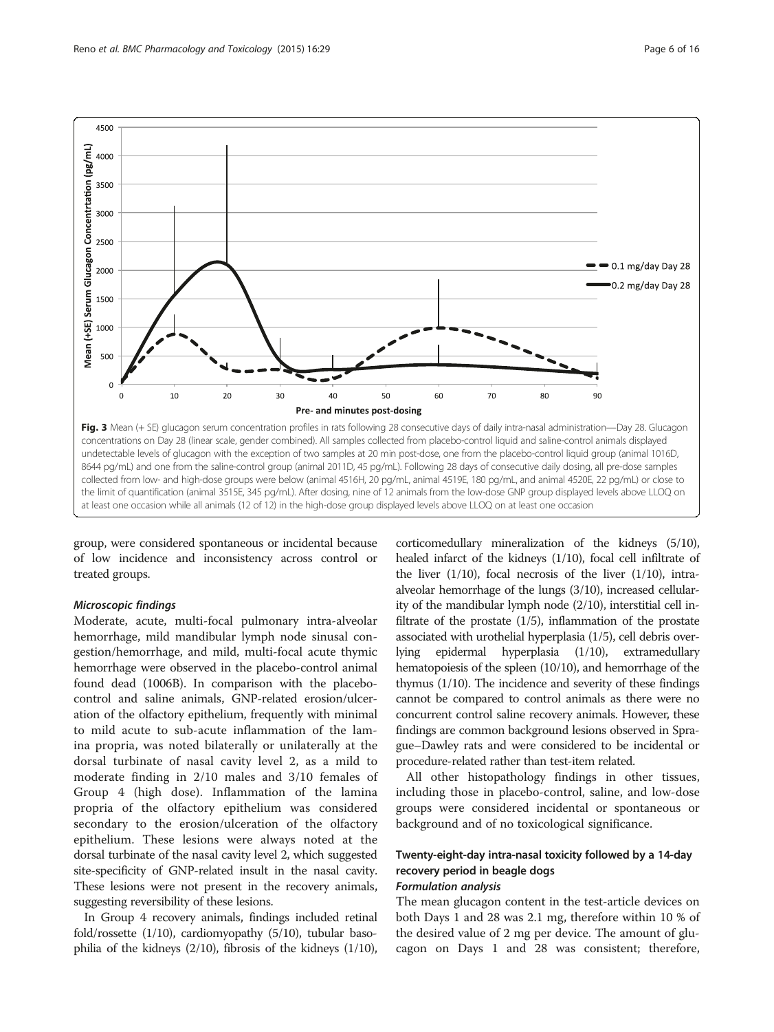<span id="page-5-0"></span>

group, were considered spontaneous or incidental because of low incidence and inconsistency across control or treated groups.

## Microscopic findings

Moderate, acute, multi-focal pulmonary intra-alveolar hemorrhage, mild mandibular lymph node sinusal congestion/hemorrhage, and mild, multi-focal acute thymic hemorrhage were observed in the placebo-control animal found dead (1006B). In comparison with the placebocontrol and saline animals, GNP-related erosion/ulceration of the olfactory epithelium, frequently with minimal to mild acute to sub-acute inflammation of the lamina propria, was noted bilaterally or unilaterally at the dorsal turbinate of nasal cavity level 2, as a mild to moderate finding in 2/10 males and 3/10 females of Group 4 (high dose). Inflammation of the lamina propria of the olfactory epithelium was considered secondary to the erosion/ulceration of the olfactory epithelium. These lesions were always noted at the dorsal turbinate of the nasal cavity level 2, which suggested site-specificity of GNP-related insult in the nasal cavity. These lesions were not present in the recovery animals, suggesting reversibility of these lesions.

In Group 4 recovery animals, findings included retinal fold/rossette (1/10), cardiomyopathy (5/10), tubular basophilia of the kidneys (2/10), fibrosis of the kidneys (1/10),

corticomedullary mineralization of the kidneys (5/10), healed infarct of the kidneys (1/10), focal cell infiltrate of the liver  $(1/10)$ , focal necrosis of the liver  $(1/10)$ , intraalveolar hemorrhage of the lungs (3/10), increased cellularity of the mandibular lymph node (2/10), interstitial cell infiltrate of the prostate  $(1/5)$ , inflammation of the prostate associated with urothelial hyperplasia (1/5), cell debris overlying epidermal hyperplasia (1/10), extramedullary hematopoiesis of the spleen (10/10), and hemorrhage of the thymus (1/10). The incidence and severity of these findings cannot be compared to control animals as there were no concurrent control saline recovery animals. However, these findings are common background lesions observed in Sprague–Dawley rats and were considered to be incidental or procedure-related rather than test-item related.

All other histopathology findings in other tissues, including those in placebo-control, saline, and low-dose groups were considered incidental or spontaneous or background and of no toxicological significance.

## Twenty-eight-day intra-nasal toxicity followed by a 14-day recovery period in beagle dogs

## Formulation analysis

The mean glucagon content in the test-article devices on both Days 1 and 28 was 2.1 mg, therefore within 10 % of the desired value of 2 mg per device. The amount of glucagon on Days 1 and 28 was consistent; therefore,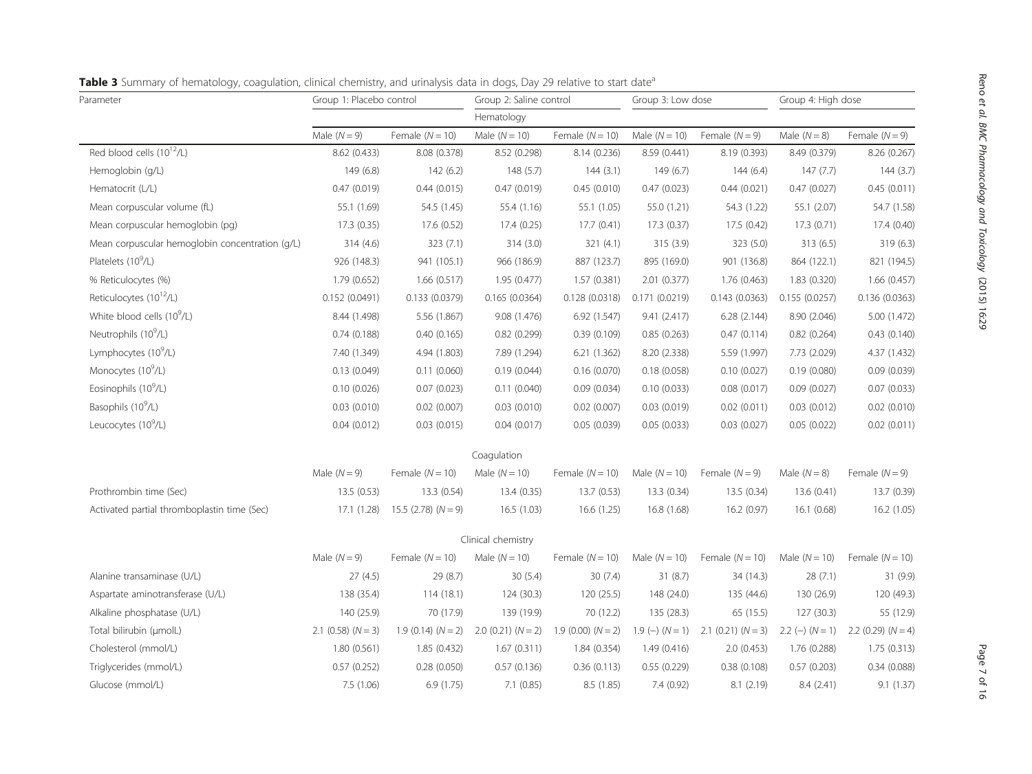| Parameter                                       | Group 1: Placebo control |                           | Group 2: Saline control  |                   | Group 3: Low dose |                          | Group 4: High dose |                        |
|-------------------------------------------------|--------------------------|---------------------------|--------------------------|-------------------|-------------------|--------------------------|--------------------|------------------------|
|                                                 | Hematology               |                           |                          |                   |                   |                          |                    |                        |
|                                                 | Male $(N = 9)$           | Female $(N = 10)$         | Male $(N = 10)$          | Female $(N = 10)$ | Male $(N = 10)$   | Female $(N = 9)$         | Male $(N = 8)$     | Female $(N = 9)$       |
| Red blood cells (10 <sup>12</sup> /L)           | 8.62 (0.433)             | 8.08 (0.378)              | 8.52 (0.298)             | 8.14 (0.236)      | 8.59 (0.441)      | 8.19 (0.393)             | 8.49 (0.379)       | 8.26 (0.267)           |
| Hemoglobin (g/L)                                | 149(6.8)                 | 142(6.2)                  | 148(5.7)                 | 144(3.1)          | 149(6.7)          | 144(6.4)                 | 147(7.7)           | 144(3.7)               |
| Hematocrit (L/L)                                | 0.47(0.019)              | 0.44(0.015)               | 0.47(0.019)              | 0.45(0.010)       | 0.47(0.023)       | 0.44(0.021)              | 0.47(0.027)        | 0.45(0.011)            |
| Mean corpuscular volume (fL)                    | 55.1 (1.69)              | 54.5 (1.45)               | 55.4(1.16)               | 55.1 (1.05)       | 55.0 (1.21)       | 54.3 (1.22)              | 55.1 (2.07)        | 54.7 (1.58)            |
| Mean corpuscular hemoglobin (pg)                | 17.3 (0.35)              | 17.6 (0.52)               | 17.4(0.25)               | 17.7(0.41)        | 17.3(0.37)        | 17.5(0.42)               | 17.3(0.71)         | 17.4 (0.40)            |
| Mean corpuscular hemoglobin concentration (g/L) | 314(4.6)                 | 323(7.1)                  | 314(3.0)                 | 321(4.1)          | 315 (3.9)         | 323 (5.0)                | 313(6.5)           | 319 (6.3)              |
| Platelets (10 <sup>9</sup> /L)                  | 926 (148.3)              | 941 (105.1)               | 966 (186.9)              | 887 (123.7)       | 895 (169.0)       | 901 (136.8)              | 864 (122.1)        | 821 (194.5)            |
| % Reticulocytes (%)                             | 1.79 (0.652)             | 1.66(0.517)               | 1.95(0.477)              | 1.57(0.381)       | 2.01 (0.377)      | 1.76 (0.463)             | 1.83 (0.320)       | 1.66(0.457)            |
| Reticulocytes (10 <sup>12</sup> /L)             | 0.152(0.0491)            | 0.133(0.0379)             | 0.165(0.0364)            | 0.128(0.0318)     | 0.171(0.0219)     | 0.143(0.0363)            | 0.155 (0.0257)     | 0.136 (0.0363)         |
| White blood cells $(10^9/L)$                    | 8.44 (1.498)             | 5.56 (1.867)              | 9.08 (1.476)             | 6.92 (1.547)      | 9.41 (2.417)      | 6.28(2.144)              | 8.90 (2.046)       | 5.00 (1.472)           |
| Neutrophils (10 <sup>9</sup> /L)                | 0.74(0.188)              | 0.40(0.165)               | 0.82(0.299)              | 0.39(0.109)       | 0.85(0.263)       | 0.47(0.114)              | 0.82(0.264)        | 0.43(0.140)            |
| Lymphocytes (10 <sup>9</sup> /L)                | 7.40 (1.349)             | 4.94 (1.803)              | 7.89 (1.294)             | 6.21(1.362)       | 8.20 (2.338)      | 5.59 (1.997)             | 7.73 (2.029)       | 4.37 (1.432)           |
| Monocytes (10 <sup>9</sup> /L)                  | 0.13(0.049)              | 0.11(0.060)               | 0.19(0.044)              | 0.16(0.070)       | 0.18(0.058)       | 0.10(0.027)              | 0.19(0.080)        | 0.09(0.039)            |
| Eosinophils (10 <sup>9</sup> /L)                | 0.10(0.026)              | 0.07(0.023)               | 0.11(0.040)              | 0.09(0.034)       | 0.10(0.033)       | 0.08(0.017)              | 0.09(0.027)        | 0.07(0.033)            |
| Basophils (10 <sup>9</sup> /L)                  | 0.03(0.010)              | 0.02(0.007)               | 0.03(0.010)              | 0.02(0.007)       | 0.03(0.019)       | 0.02(0.011)              | 0.03(0.012)        | $0.02$ $(0.010)$       |
| Leucocytes (10 <sup>9</sup> /L)                 | 0.04(0.012)              | 0.03(0.015)               | 0.04(0.017)              | 0.05(0.039)       | 0.05(0.033)       | 0.03(0.027)              | 0.05(0.022)        | 0.02(0.011)            |
|                                                 |                          |                           | Coagulation              |                   |                   |                          |                    |                        |
|                                                 | Male $(N = 9)$           | Female $(N = 10)$         | Male $(N = 10)$          | Female $(N = 10)$ | Male $(N = 10)$   | Female $(N = 9)$         | Male $(N = 8)$     | Female $(N = 9)$       |
| Prothrombin time (Sec)                          | 13.5(0.53)               | 13.3 (0.54)               | 13.4(0.35)               | 13.7 (0.53)       | 13.3 (0.34)       | 13.5(0.34)               | 13.6 (0.41)        | 13.7 (0.39)            |
| Activated partial thromboplastin time (Sec)     | 17.1 (1.28)              | $15.5$ (2.78) ( $N = 9$ ) | 16.5(1.03)               | 16.6(1.25)        | 16.8 (1.68)       | 16.2(0.97)               | 16.1(0.68)         | 16.2 (1.05)            |
|                                                 |                          |                           | Clinical chemistry       |                   |                   |                          |                    |                        |
|                                                 | Male $(N = 9)$           | Female $(N = 10)$         | Male $(N = 10)$          | Female $(N = 10)$ | Male $(N = 10)$   | Female $(N = 10)$        | Male $(N = 10)$    | Female $(N = 10)$      |
| Alanine transaminase (U/L)                      | 27(4.5)                  | 29 (8.7)                  | 30(5.4)                  | 30(7.4)           | 31(8.7)           | 34 (14.3)                | 28(7.1)            | 31 (9.9)               |
| Aspartate aminotransferase (U/L)                | 138 (35.4)               | 114(18.1)                 | 124(30.3)                | 120 (25.5)        | 148 (24.0)        | 135 (44.6)               | 130 (26.9)         | 120 (49.3)             |
| Alkaline phosphatase (U/L)                      | 140 (25.9)               | 70 (17.9)                 | 139 (19.9)               | 70 (12.2)         | 135 (28.3)        | 65 (15.5)                | 127(30.3)          | 55 (12.9)              |
| Total bilirubin (µmolL)                         | $2.1$ (0.58) ( $N = 3$ ) | $1.9(0.14)(N=2)$          | $2.0$ (0.21) ( $N = 2$ ) | $1.9(0.00)(N=2)$  | $1.9 (-) (N = 1)$ | $2.1$ (0.21) ( $N = 3$ ) | $2.2 (-) (N = 1)$  | 2.2 $(0.29)$ $(N = 4)$ |
| Cholesterol (mmol/L)                            | 1.80(0.561)              | 1.85 (0.432)              | 1.67(0.311)              | 1.84 (0.354)      | 1.49(0.416)       | 2.0(0.453)               | 1.76 (0.288)       | 1.75 (0.313)           |
| Triglycerides (mmol/L)                          | 0.57(0.252)              | 0.28(0.050)               | 0.57(0.136)              | 0.36(0.113)       | 0.55(0.229)       | 0.38(0.108)              | 0.57(0.203)        | 0.34(0.088)            |
| Glucose (mmol/L)                                | 7.5 (1.06)               | 6.9(1.75)                 | 7.1 (0.85)               | 8.5 (1.85)        | 7.4 (0.92)        | 8.1 (2.19)               | 8.4 (2.41)         | 9.1(1.37)              |
|                                                 |                          |                           |                          |                   |                   |                          |                    |                        |

<span id="page-6-0"></span>

| Table 3 Summary of hematology, coagulation, clinical chemistry, and urinalysis data in dogs, Day 29 relative to start date <sup>a</sup> |  |
|-----------------------------------------------------------------------------------------------------------------------------------------|--|
|-----------------------------------------------------------------------------------------------------------------------------------------|--|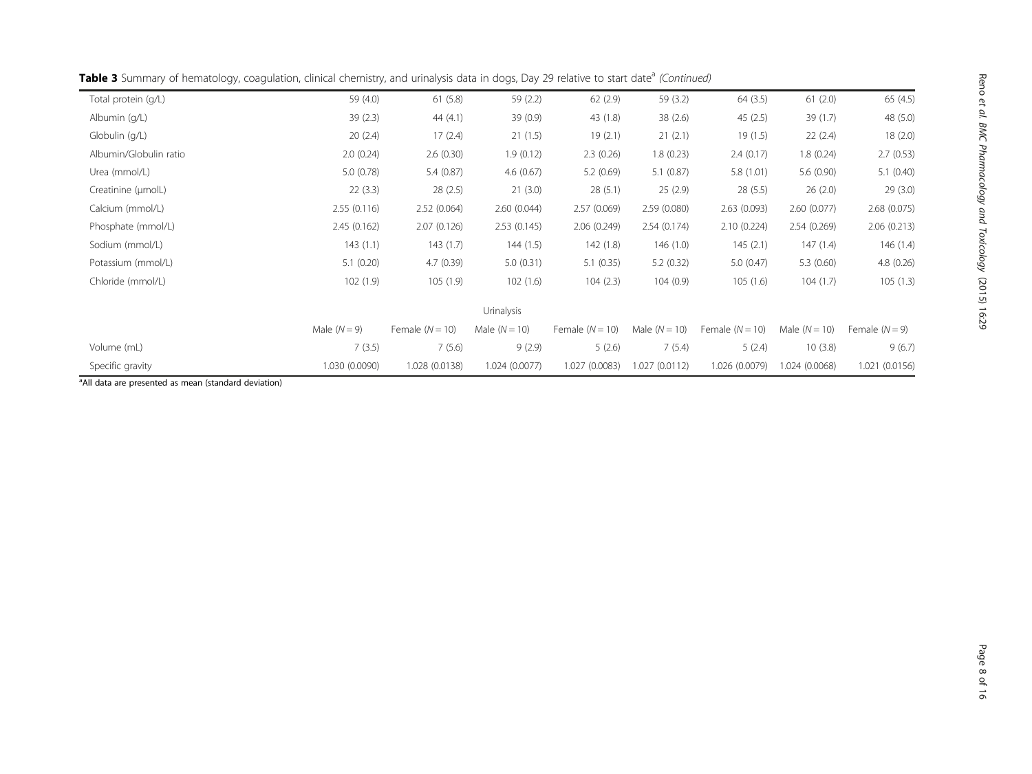| Table 3 Summary of hematology, coagulation, clinical chemistry, and urinalysis data in dogs, Day 29 relative to start date <sup>a</sup> (Continued) |  |  |  |
|-----------------------------------------------------------------------------------------------------------------------------------------------------|--|--|--|
|-----------------------------------------------------------------------------------------------------------------------------------------------------|--|--|--|

| Total protein (g/L)    | 59 (4.0)       | 61(5.8)           | 59 (2.2)          | 62(2.9)           | 59 (3.2)        | 64(3.5)           | 61(2.0)         | 65(4.5)          |
|------------------------|----------------|-------------------|-------------------|-------------------|-----------------|-------------------|-----------------|------------------|
| Albumin (g/L)          | 39(2.3)        | 44 $(4.1)$        | 39 (0.9)          | 43 (1.8)          | 38(2.6)         | 45(2.5)           | 39(1.7)         | 48 (5.0)         |
| Globulin (q/L)         | 20(2.4)        | 17(2.4)           | 21(1.5)           | 19(2.1)           | 21(2.1)         | 19(1.5)           | 22(2.4)         | 18(2.0)          |
| Albumin/Globulin ratio | 2.0(0.24)      | 2.6(0.30)         | 1.9(0.12)         | 2.3(0.26)         | 1.8(0.23)       | 2.4(0.17)         | 1.8(0.24)       | 2.7(0.53)        |
| Urea (mmol/L)          | 5.0(0.78)      | 5.4(0.87)         | 4.6(0.67)         | 5.2(0.69)         | 5.1(0.87)       | 5.8(1.01)         | 5.6(0.90)       | 5.1(0.40)        |
| Creatinine (µmolL)     | 22(3.3)        | 28(2.5)           | 21(3.0)           | 28(5.1)           | 25(2.9)         | 28(5.5)           | 26(2.0)         | 29(3.0)          |
| Calcium (mmol/L)       | 2.55(0.116)    | 2.52(0.064)       | 2.60(0.044)       | 2.57(0.069)       | 2.59(0.080)     | 2.63(0.093)       | 2.60(0.077)     | 2.68(0.075)      |
| Phosphate (mmol/L)     | 2.45(0.162)    | 2.07(0.126)       | 2.53(0.145)       | 2.06(0.249)       | 2.54(0.174)     | 2.10(0.224)       | 2.54(0.269)     | 2.06(0.213)      |
| Sodium (mmol/L)        | 143(1.1)       | 143(1.7)          | 144(1.5)          | 142(1.8)          | 146(1.0)        | 145(2.1)          | 147(1.4)        | 146(1.4)         |
| Potassium (mmol/L)     | 5.1(0.20)      | 4.7(0.39)         | 5.0(0.31)         | 5.1(0.35)         | 5.2(0.32)       | 5.0(0.47)         | 5.3(0.60)       | 4.8(0.26)        |
| Chloride (mmol/L)      | 102(1.9)       | 105(1.9)          | 102(1.6)          | 104(2.3)          | 104(0.9)        | 105(1.6)          | 104(1.7)        | 105(1.3)         |
|                        |                |                   | <b>Urinalysis</b> |                   |                 |                   |                 |                  |
|                        | Male $(N = 9)$ | Female $(N = 10)$ | Male $(N = 10)$   | Female $(N = 10)$ | Male $(N = 10)$ | Female $(N = 10)$ | Male $(N = 10)$ | Female $(N = 9)$ |
| Volume (mL)            | 7(3.5)         | 7(5.6)            | 9(2.9)            | 5(2.6)            | 7(5.4)          | 5(2.4)            | 10(3.8)         | 9(6.7)           |
| Specific gravity       | 1.030 (0.0090) | 1.028 (0.0138)    | 1.024 (0.0077)    | 1.027 (0.0083)    | 1.027(0.0112)   | 1.026 (0.0079)    | 1.024 (0.0068)  | 1.021 (0.0156)   |

<sup>a</sup>All data are presented as mean (standard deviation)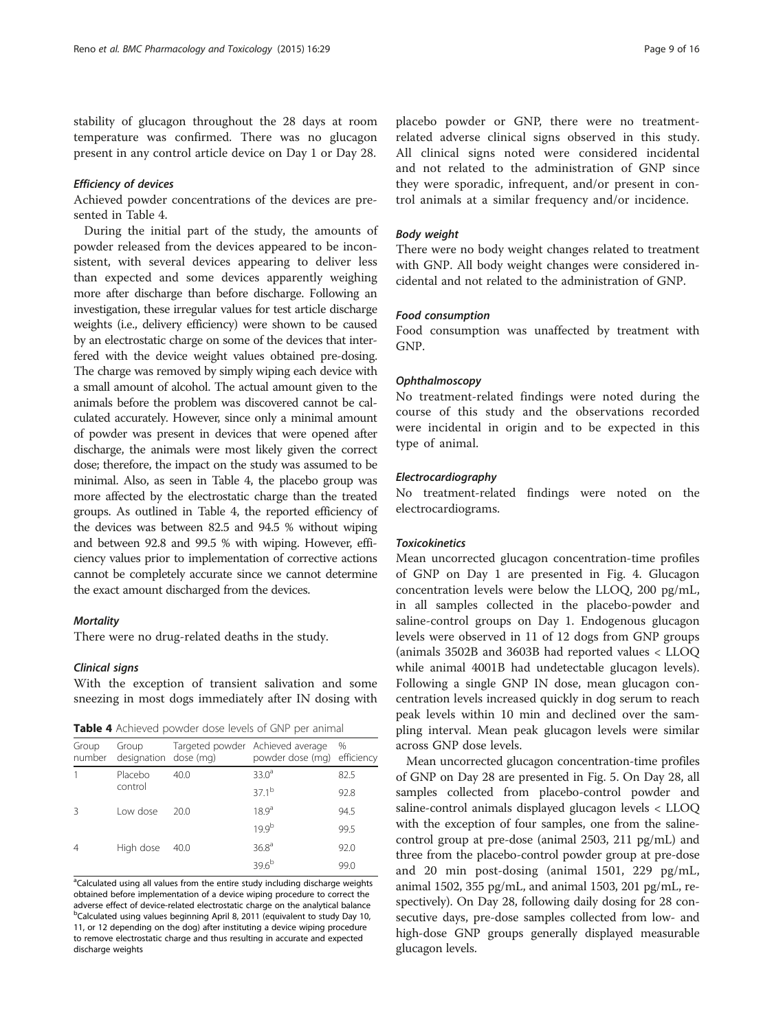stability of glucagon throughout the 28 days at room temperature was confirmed. There was no glucagon present in any control article device on Day 1 or Day 28.

#### Efficiency of devices

Achieved powder concentrations of the devices are presented in Table 4.

During the initial part of the study, the amounts of powder released from the devices appeared to be inconsistent, with several devices appearing to deliver less than expected and some devices apparently weighing more after discharge than before discharge. Following an investigation, these irregular values for test article discharge weights (i.e., delivery efficiency) were shown to be caused by an electrostatic charge on some of the devices that interfered with the device weight values obtained pre-dosing. The charge was removed by simply wiping each device with a small amount of alcohol. The actual amount given to the animals before the problem was discovered cannot be calculated accurately. However, since only a minimal amount of powder was present in devices that were opened after discharge, the animals were most likely given the correct dose; therefore, the impact on the study was assumed to be minimal. Also, as seen in Table 4, the placebo group was more affected by the electrostatic charge than the treated groups. As outlined in Table 4, the reported efficiency of the devices was between 82.5 and 94.5 % without wiping and between 92.8 and 99.5 % with wiping. However, efficiency values prior to implementation of corrective actions cannot be completely accurate since we cannot determine the exact amount discharged from the devices.

## **Mortality**

There were no drug-related deaths in the study.

## Clinical signs

With the exception of transient salivation and some sneezing in most dogs immediately after IN dosing with

| <b>Table 4</b> Achieved powder dose levels of GNP per animal |  |  |  |  |  |  |  |
|--------------------------------------------------------------|--|--|--|--|--|--|--|
|--------------------------------------------------------------|--|--|--|--|--|--|--|

| Group<br>number | Group<br>designation dose (mg) |      | Targeted powder Achieved average<br>powder dose (mg) efficiency | %    |
|-----------------|--------------------------------|------|-----------------------------------------------------------------|------|
|                 | Placebo                        | 40.0 | $33.0^a$                                                        | 82.5 |
|                 | control                        |      | $37.1^{b}$                                                      | 92.8 |
| 3               | Low dose                       | 20.0 | 18.9 <sup>a</sup>                                               | 94.5 |
|                 |                                |      | $19.9^{b}$                                                      | 99.5 |
| $\overline{4}$  | High dose                      | 40.0 | 36.8 <sup>a</sup>                                               | 92.0 |
|                 |                                |      | $39.6^{b}$                                                      | 99.0 |

<sup>a</sup>Calculated using all values from the entire study including discharge weights obtained before implementation of a device wiping procedure to correct the adverse effect of device-related electrostatic charge on the analytical balance <sup>b</sup>Calculated using values beginning April 8, 2011 (equivalent to study Day 10, 11, or 12 depending on the dog) after instituting a device wiping procedure to remove electrostatic charge and thus resulting in accurate and expected discharge weights

placebo powder or GNP, there were no treatmentrelated adverse clinical signs observed in this study. All clinical signs noted were considered incidental and not related to the administration of GNP since they were sporadic, infrequent, and/or present in control animals at a similar frequency and/or incidence.

## Body weight

There were no body weight changes related to treatment with GNP. All body weight changes were considered incidental and not related to the administration of GNP.

## Food consumption

Food consumption was unaffected by treatment with GNP.

## **Ophthalmoscopy**

No treatment-related findings were noted during the course of this study and the observations recorded were incidental in origin and to be expected in this type of animal.

## Electrocardiography

No treatment-related findings were noted on the electrocardiograms.

## **Toxicokinetics**

Mean uncorrected glucagon concentration-time profiles of GNP on Day 1 are presented in Fig. [4.](#page-9-0) Glucagon concentration levels were below the LLOQ, 200 pg/mL, in all samples collected in the placebo-powder and saline-control groups on Day 1. Endogenous glucagon levels were observed in 11 of 12 dogs from GNP groups (animals 3502B and 3603B had reported values < LLOQ while animal 4001B had undetectable glucagon levels). Following a single GNP IN dose, mean glucagon concentration levels increased quickly in dog serum to reach peak levels within 10 min and declined over the sampling interval. Mean peak glucagon levels were similar across GNP dose levels.

Mean uncorrected glucagon concentration-time profiles of GNP on Day 28 are presented in Fig. [5](#page-9-0). On Day 28, all samples collected from placebo-control powder and saline-control animals displayed glucagon levels < LLOQ with the exception of four samples, one from the salinecontrol group at pre-dose (animal 2503, 211 pg/mL) and three from the placebo-control powder group at pre-dose and 20 min post-dosing (animal 1501, 229 pg/mL, animal 1502, 355 pg/mL, and animal 1503, 201 pg/mL, respectively). On Day 28, following daily dosing for 28 consecutive days, pre-dose samples collected from low- and high-dose GNP groups generally displayed measurable glucagon levels.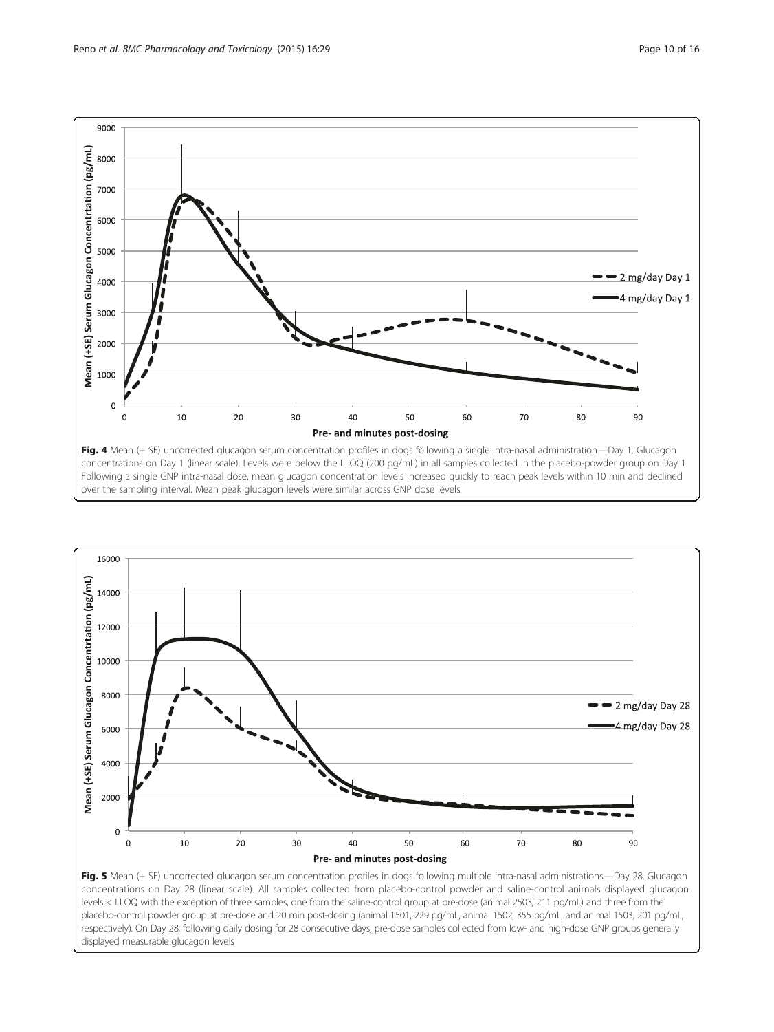<span id="page-9-0"></span>



Fig. 5 Mean (+ SE) uncorrected glucagon serum concentration profiles in dogs following multiple intra-nasal administrations—Day 28. Glucagon concentrations on Day 28 (linear scale). All samples collected from placebo-control powder and saline-control animals displayed glucagon levels < LLOQ with the exception of three samples, one from the saline-control group at pre-dose (animal 2503, 211 pg/mL) and three from the placebo-control powder group at pre-dose and 20 min post-dosing (animal 1501, 229 pg/mL, animal 1502, 355 pg/mL, and animal 1503, 201 pg/mL, respectively). On Day 28, following daily dosing for 28 consecutive days, pre-dose samples collected from low- and high-dose GNP groups generally displayed measurable glucagon levels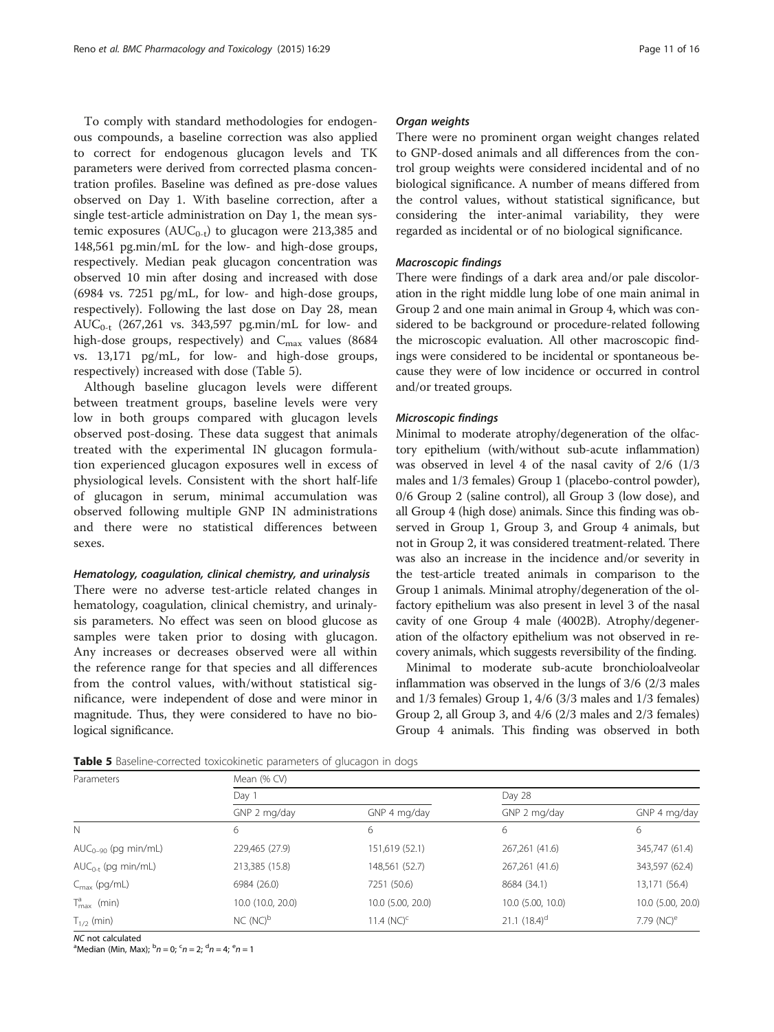To comply with standard methodologies for endogenous compounds, a baseline correction was also applied to correct for endogenous glucagon levels and TK parameters were derived from corrected plasma concentration profiles. Baseline was defined as pre-dose values observed on Day 1. With baseline correction, after a single test-article administration on Day 1, the mean systemic exposures  $(AUC_{0-t})$  to glucagon were 213,385 and 148,561 pg.min/mL for the low- and high-dose groups, respectively. Median peak glucagon concentration was observed 10 min after dosing and increased with dose (6984 vs. 7251 pg/mL, for low- and high-dose groups, respectively). Following the last dose on Day 28, mean  $AUC_{0-t}$  (267,261 vs. 343,597 pg.min/mL for low- and high-dose groups, respectively) and  $C_{\text{max}}$  values (8684 vs. 13,171 pg/mL, for low- and high-dose groups, respectively) increased with dose (Table 5).

Although baseline glucagon levels were different between treatment groups, baseline levels were very low in both groups compared with glucagon levels observed post-dosing. These data suggest that animals treated with the experimental IN glucagon formulation experienced glucagon exposures well in excess of physiological levels. Consistent with the short half-life of glucagon in serum, minimal accumulation was observed following multiple GNP IN administrations and there were no statistical differences between sexes.

## Hematology, coagulation, clinical chemistry, and urinalysis

There were no adverse test-article related changes in hematology, coagulation, clinical chemistry, and urinalysis parameters. No effect was seen on blood glucose as samples were taken prior to dosing with glucagon. Any increases or decreases observed were all within the reference range for that species and all differences from the control values, with/without statistical significance, were independent of dose and were minor in magnitude. Thus, they were considered to have no biological significance.

## Organ weights

There were no prominent organ weight changes related to GNP-dosed animals and all differences from the control group weights were considered incidental and of no biological significance. A number of means differed from the control values, without statistical significance, but considering the inter-animal variability, they were regarded as incidental or of no biological significance.

## Macroscopic findings

There were findings of a dark area and/or pale discoloration in the right middle lung lobe of one main animal in Group 2 and one main animal in Group 4, which was considered to be background or procedure-related following the microscopic evaluation. All other macroscopic findings were considered to be incidental or spontaneous because they were of low incidence or occurred in control and/or treated groups.

## Microscopic findings

Minimal to moderate atrophy/degeneration of the olfactory epithelium (with/without sub-acute inflammation) was observed in level 4 of the nasal cavity of 2/6 (1/3 males and 1/3 females) Group 1 (placebo-control powder), 0/6 Group 2 (saline control), all Group 3 (low dose), and all Group 4 (high dose) animals. Since this finding was observed in Group 1, Group 3, and Group 4 animals, but not in Group 2, it was considered treatment-related. There was also an increase in the incidence and/or severity in the test-article treated animals in comparison to the Group 1 animals. Minimal atrophy/degeneration of the olfactory epithelium was also present in level 3 of the nasal cavity of one Group 4 male (4002B). Atrophy/degeneration of the olfactory epithelium was not observed in recovery animals, which suggests reversibility of the finding.

Minimal to moderate sub-acute bronchioloalveolar inflammation was observed in the lungs of 3/6 (2/3 males and 1/3 females) Group 1, 4/6 (3/3 males and 1/3 females) Group 2, all Group 3, and 4/6 (2/3 males and 2/3 females) Group 4 animals. This finding was observed in both

|  | Table 5 Baseline-corrected toxicokinetic parameters of glucagon in dogs |  |  |  |
|--|-------------------------------------------------------------------------|--|--|--|
|  |                                                                         |  |  |  |

| Parameters               | Mean (% CV)       |                   |                   |                        |  |  |  |  |
|--------------------------|-------------------|-------------------|-------------------|------------------------|--|--|--|--|
|                          | Day 1             |                   | Day 28            |                        |  |  |  |  |
|                          | GNP 2 mg/day      | GNP 4 mg/day      | GNP 2 mg/day      | GNP 4 mg/day           |  |  |  |  |
| N                        | 6                 | 6                 | 6                 | 6                      |  |  |  |  |
| $AUC_{0-90}$ (pg min/mL) | 229,465 (27.9)    | 151,619 (52.1)    | 267,261 (41.6)    | 345,747 (61.4)         |  |  |  |  |
| $AUC_{0-t}$ (pg min/mL)  | 213,385 (15.8)    | 148,561 (52.7)    | 267,261 (41.6)    | 343,597 (62.4)         |  |  |  |  |
| $C_{\text{max}}$ (pg/mL) | 6984 (26.0)       | 7251 (50.6)       | 8684 (34.1)       | 13,171 (56.4)          |  |  |  |  |
| $T_{\text{max}}^a$ (min) | 10.0 (10.0, 20.0) | 10.0 (5.00, 20.0) | 10.0 (5.00, 10.0) | 10.0 (5.00, 20.0)      |  |  |  |  |
| $T_{1/2}$ (min)          | $NC(NC)^b$        | 11.4 $(NC)^{c}$   | 21.1 $(18.4)^d$   | 7.79 (NC) <sup>e</sup> |  |  |  |  |

NC not calculated

Median (Min, Max);  ${}^{b}n = 0$ ;  ${}^{c}n = 2$ ;  ${}^{d}n = 4$ ;  ${}^{e}n = 1$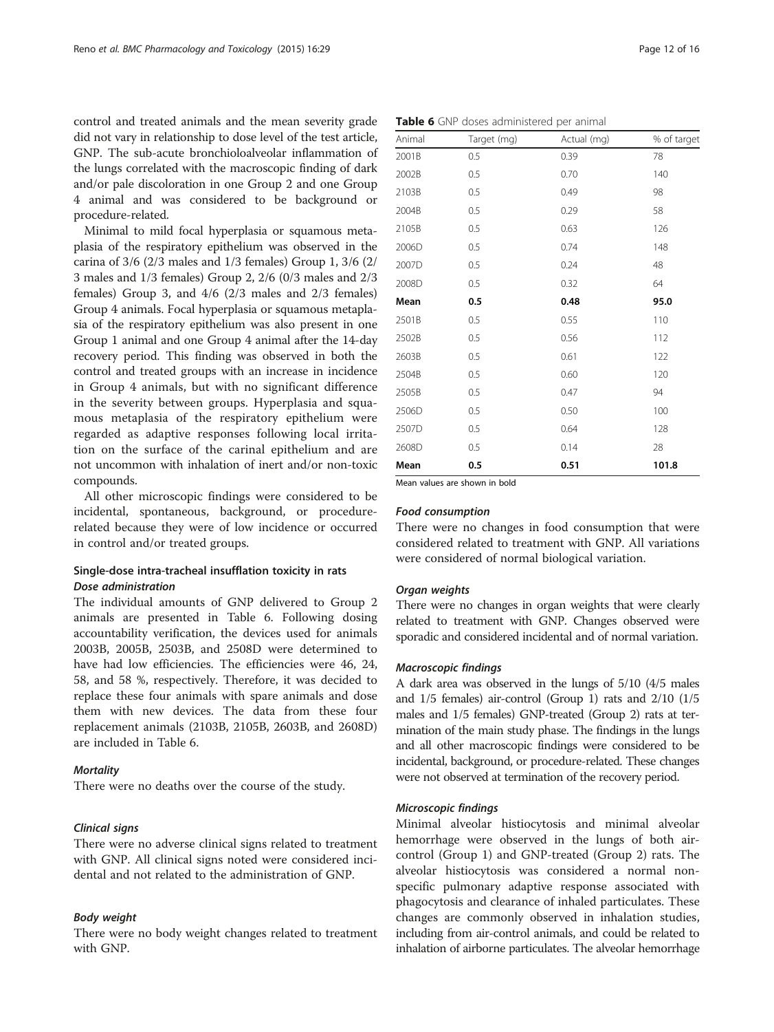control and treated animals and the mean severity grade did not vary in relationship to dose level of the test article, GNP. The sub-acute bronchioloalveolar inflammation of the lungs correlated with the macroscopic finding of dark and/or pale discoloration in one Group 2 and one Group 4 animal and was considered to be background or procedure-related.

Minimal to mild focal hyperplasia or squamous metaplasia of the respiratory epithelium was observed in the carina of 3/6 (2/3 males and 1/3 females) Group 1, 3/6 (2/ 3 males and 1/3 females) Group 2, 2/6 (0/3 males and 2/3 females) Group 3, and 4/6 (2/3 males and 2/3 females) Group 4 animals. Focal hyperplasia or squamous metaplasia of the respiratory epithelium was also present in one Group 1 animal and one Group 4 animal after the 14-day recovery period. This finding was observed in both the control and treated groups with an increase in incidence in Group 4 animals, but with no significant difference in the severity between groups. Hyperplasia and squamous metaplasia of the respiratory epithelium were regarded as adaptive responses following local irritation on the surface of the carinal epithelium and are not uncommon with inhalation of inert and/or non-toxic compounds.

All other microscopic findings were considered to be incidental, spontaneous, background, or procedurerelated because they were of low incidence or occurred in control and/or treated groups.

## Single-dose intra-tracheal insufflation toxicity in rats Dose administration

The individual amounts of GNP delivered to Group 2 animals are presented in Table 6. Following dosing accountability verification, the devices used for animals 2003B, 2005B, 2503B, and 2508D were determined to have had low efficiencies. The efficiencies were 46, 24, 58, and 58 %, respectively. Therefore, it was decided to replace these four animals with spare animals and dose them with new devices. The data from these four replacement animals (2103B, 2105B, 2603B, and 2608D) are included in Table 6.

## **Mortality**

There were no deaths over the course of the study.

## Clinical signs

There were no adverse clinical signs related to treatment with GNP. All clinical signs noted were considered incidental and not related to the administration of GNP.

## Body weight

There were no body weight changes related to treatment with GNP.

|  |  |  |  |  | Table 6 GNP doses administered per animal |  |  |  |
|--|--|--|--|--|-------------------------------------------|--|--|--|
|--|--|--|--|--|-------------------------------------------|--|--|--|

| Animal | Target (mg) | Actual (mg) | % of target |
|--------|-------------|-------------|-------------|
| 2001B  | 0.5         | 0.39        | 78          |
| 2002B  | 0.5         | 0.70        | 140         |
| 2103B  | 0.5         | 0.49        | 98          |
| 2004B  | 0.5         | 0.29        | 58          |
| 2105B  | 0.5         | 0.63        | 126         |
| 2006D  | 0.5         | 0.74        | 148         |
| 2007D  | 0.5         | 0.24        | 48          |
| 2008D  | 0.5         | 0.32        | 64          |
| Mean   | 0.5         | 0.48        | 95.0        |
| 2501B  | 0.5         | 0.55        | 110         |
| 2502B  | 0.5         | 0.56        | 112         |
| 2603B  | 0.5         | 0.61        | 122         |
| 2504B  | 0.5         | 0.60        | 120         |
| 2505B  | 0.5         | 0.47        | 94          |
| 2506D  | 0.5         | 0.50        | 100         |
| 2507D  | 0.5         | 0.64        | 128         |
| 2608D  | 0.5         | 0.14        | 28          |
| Mean   | 0.5         | 0.51        | 101.8       |

Mean values are shown in bold

## Food consumption

There were no changes in food consumption that were considered related to treatment with GNP. All variations were considered of normal biological variation.

#### Organ weights

There were no changes in organ weights that were clearly related to treatment with GNP. Changes observed were sporadic and considered incidental and of normal variation.

## Macroscopic findings

A dark area was observed in the lungs of 5/10 (4/5 males and 1/5 females) air-control (Group 1) rats and 2/10 (1/5 males and 1/5 females) GNP-treated (Group 2) rats at termination of the main study phase. The findings in the lungs and all other macroscopic findings were considered to be incidental, background, or procedure-related. These changes were not observed at termination of the recovery period.

## Microscopic findings

Minimal alveolar histiocytosis and minimal alveolar hemorrhage were observed in the lungs of both aircontrol (Group 1) and GNP-treated (Group 2) rats. The alveolar histiocytosis was considered a normal nonspecific pulmonary adaptive response associated with phagocytosis and clearance of inhaled particulates. These changes are commonly observed in inhalation studies, including from air-control animals, and could be related to inhalation of airborne particulates. The alveolar hemorrhage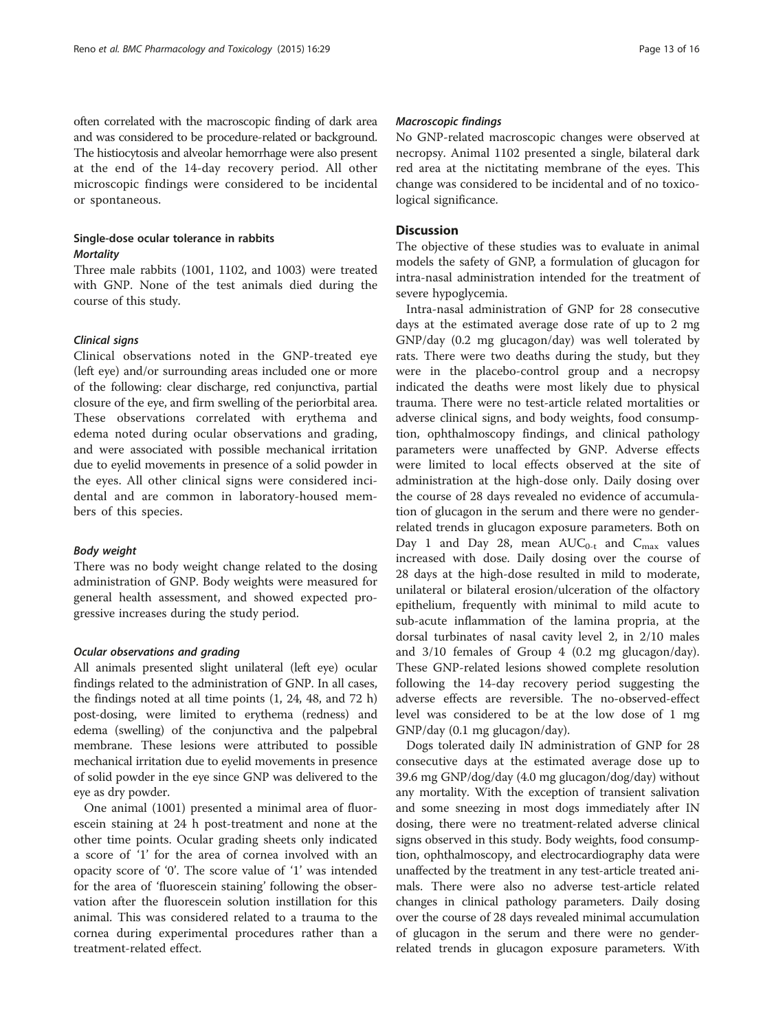often correlated with the macroscopic finding of dark area and was considered to be procedure-related or background. The histiocytosis and alveolar hemorrhage were also present at the end of the 14-day recovery period. All other microscopic findings were considered to be incidental or spontaneous.

## Single-dose ocular tolerance in rabbits **Mortality**

Three male rabbits (1001, 1102, and 1003) were treated with GNP. None of the test animals died during the course of this study.

## Clinical signs

Clinical observations noted in the GNP-treated eye (left eye) and/or surrounding areas included one or more of the following: clear discharge, red conjunctiva, partial closure of the eye, and firm swelling of the periorbital area. These observations correlated with erythema and edema noted during ocular observations and grading, and were associated with possible mechanical irritation due to eyelid movements in presence of a solid powder in the eyes. All other clinical signs were considered incidental and are common in laboratory-housed members of this species.

## Body weight

There was no body weight change related to the dosing administration of GNP. Body weights were measured for general health assessment, and showed expected progressive increases during the study period.

## Ocular observations and grading

All animals presented slight unilateral (left eye) ocular findings related to the administration of GNP. In all cases, the findings noted at all time points (1, 24, 48, and 72 h) post-dosing, were limited to erythema (redness) and edema (swelling) of the conjunctiva and the palpebral membrane. These lesions were attributed to possible mechanical irritation due to eyelid movements in presence of solid powder in the eye since GNP was delivered to the eye as dry powder.

One animal (1001) presented a minimal area of fluorescein staining at 24 h post-treatment and none at the other time points. Ocular grading sheets only indicated a score of '1' for the area of cornea involved with an opacity score of '0'. The score value of '1' was intended for the area of 'fluorescein staining' following the observation after the fluorescein solution instillation for this animal. This was considered related to a trauma to the cornea during experimental procedures rather than a treatment-related effect.

## Macroscopic findings

No GNP-related macroscopic changes were observed at necropsy. Animal 1102 presented a single, bilateral dark red area at the nictitating membrane of the eyes. This change was considered to be incidental and of no toxicological significance.

## **Discussion**

The objective of these studies was to evaluate in animal models the safety of GNP, a formulation of glucagon for intra-nasal administration intended for the treatment of severe hypoglycemia.

Intra-nasal administration of GNP for 28 consecutive days at the estimated average dose rate of up to 2 mg GNP/day (0.2 mg glucagon/day) was well tolerated by rats. There were two deaths during the study, but they were in the placebo-control group and a necropsy indicated the deaths were most likely due to physical trauma. There were no test-article related mortalities or adverse clinical signs, and body weights, food consumption, ophthalmoscopy findings, and clinical pathology parameters were unaffected by GNP. Adverse effects were limited to local effects observed at the site of administration at the high-dose only. Daily dosing over the course of 28 days revealed no evidence of accumulation of glucagon in the serum and there were no genderrelated trends in glucagon exposure parameters. Both on Day 1 and Day 28, mean  $AUC_{0-t}$  and  $C_{\text{max}}$  values increased with dose. Daily dosing over the course of 28 days at the high-dose resulted in mild to moderate, unilateral or bilateral erosion/ulceration of the olfactory epithelium, frequently with minimal to mild acute to sub-acute inflammation of the lamina propria, at the dorsal turbinates of nasal cavity level 2, in 2/10 males and 3/10 females of Group 4 (0.2 mg glucagon/day). These GNP-related lesions showed complete resolution following the 14-day recovery period suggesting the adverse effects are reversible. The no-observed-effect level was considered to be at the low dose of 1 mg GNP/day (0.1 mg glucagon/day).

Dogs tolerated daily IN administration of GNP for 28 consecutive days at the estimated average dose up to 39.6 mg GNP/dog/day (4.0 mg glucagon/dog/day) without any mortality. With the exception of transient salivation and some sneezing in most dogs immediately after IN dosing, there were no treatment-related adverse clinical signs observed in this study. Body weights, food consumption, ophthalmoscopy, and electrocardiography data were unaffected by the treatment in any test-article treated animals. There were also no adverse test-article related changes in clinical pathology parameters. Daily dosing over the course of 28 days revealed minimal accumulation of glucagon in the serum and there were no genderrelated trends in glucagon exposure parameters. With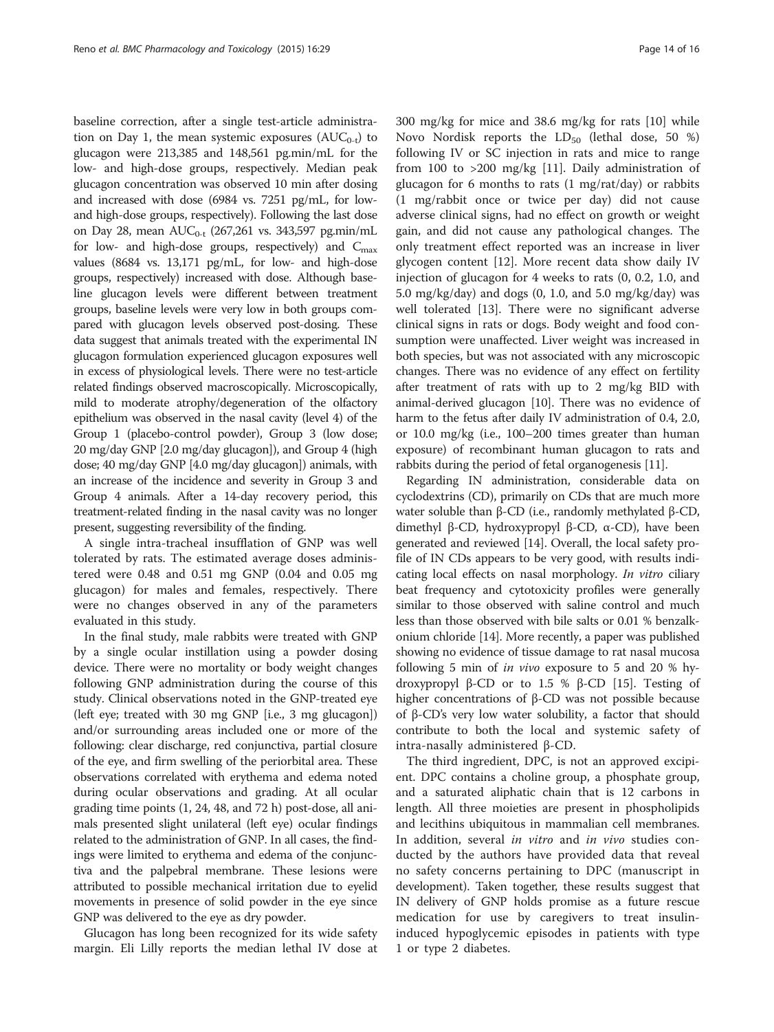baseline correction, after a single test-article administration on Day 1, the mean systemic exposures  $(AUC_{0-t})$  to glucagon were 213,385 and 148,561 pg.min/mL for the low- and high-dose groups, respectively. Median peak glucagon concentration was observed 10 min after dosing and increased with dose (6984 vs. 7251 pg/mL, for lowand high-dose groups, respectively). Following the last dose on Day 28, mean  $AUC_{0-t}$  (267,261 vs. 343,597 pg.min/mL for low- and high-dose groups, respectively) and  $C_{\text{max}}$ values (8684 vs. 13,171 pg/mL, for low- and high-dose groups, respectively) increased with dose. Although baseline glucagon levels were different between treatment groups, baseline levels were very low in both groups compared with glucagon levels observed post-dosing. These data suggest that animals treated with the experimental IN glucagon formulation experienced glucagon exposures well in excess of physiological levels. There were no test-article related findings observed macroscopically. Microscopically, mild to moderate atrophy/degeneration of the olfactory epithelium was observed in the nasal cavity (level 4) of the Group 1 (placebo-control powder), Group 3 (low dose; 20 mg/day GNP [2.0 mg/day glucagon]), and Group 4 (high dose; 40 mg/day GNP [4.0 mg/day glucagon]) animals, with an increase of the incidence and severity in Group 3 and Group 4 animals. After a 14-day recovery period, this treatment-related finding in the nasal cavity was no longer present, suggesting reversibility of the finding.

A single intra-tracheal insufflation of GNP was well tolerated by rats. The estimated average doses administered were 0.48 and 0.51 mg GNP (0.04 and 0.05 mg glucagon) for males and females, respectively. There were no changes observed in any of the parameters evaluated in this study.

In the final study, male rabbits were treated with GNP by a single ocular instillation using a powder dosing device. There were no mortality or body weight changes following GNP administration during the course of this study. Clinical observations noted in the GNP-treated eye (left eye; treated with 30 mg GNP [i.e., 3 mg glucagon]) and/or surrounding areas included one or more of the following: clear discharge, red conjunctiva, partial closure of the eye, and firm swelling of the periorbital area. These observations correlated with erythema and edema noted during ocular observations and grading. At all ocular grading time points (1, 24, 48, and 72 h) post-dose, all animals presented slight unilateral (left eye) ocular findings related to the administration of GNP. In all cases, the findings were limited to erythema and edema of the conjunctiva and the palpebral membrane. These lesions were attributed to possible mechanical irritation due to eyelid movements in presence of solid powder in the eye since GNP was delivered to the eye as dry powder.

Glucagon has long been recognized for its wide safety margin. Eli Lilly reports the median lethal IV dose at 300 mg/kg for mice and 38.6 mg/kg for rats [[10\]](#page-14-0) while Novo Nordisk reports the  $LD_{50}$  (lethal dose, 50 %) following IV or SC injection in rats and mice to range from 100 to >200 mg/kg [[11](#page-14-0)]. Daily administration of glucagon for 6 months to rats (1 mg/rat/day) or rabbits (1 mg/rabbit once or twice per day) did not cause adverse clinical signs, had no effect on growth or weight gain, and did not cause any pathological changes. The only treatment effect reported was an increase in liver glycogen content [[12\]](#page-14-0). More recent data show daily IV injection of glucagon for 4 weeks to rats (0, 0.2, 1.0, and 5.0 mg/kg/day) and dogs  $(0, 1.0, \text{ and } 5.0 \text{ mg/kg/day})$  was well tolerated [[13\]](#page-14-0). There were no significant adverse clinical signs in rats or dogs. Body weight and food consumption were unaffected. Liver weight was increased in both species, but was not associated with any microscopic changes. There was no evidence of any effect on fertility after treatment of rats with up to 2 mg/kg BID with animal-derived glucagon [[10](#page-14-0)]. There was no evidence of harm to the fetus after daily IV administration of 0.4, 2.0, or 10.0 mg/kg (i.e., 100–200 times greater than human exposure) of recombinant human glucagon to rats and rabbits during the period of fetal organogenesis [\[11\]](#page-14-0).

Regarding IN administration, considerable data on cyclodextrins (CD), primarily on CDs that are much more water soluble than β-CD (i.e., randomly methylated β-CD, dimethyl β-CD, hydroxypropyl β-CD, α-CD), have been generated and reviewed [\[14\]](#page-15-0). Overall, the local safety profile of IN CDs appears to be very good, with results indicating local effects on nasal morphology. In vitro ciliary beat frequency and cytotoxicity profiles were generally similar to those observed with saline control and much less than those observed with bile salts or 0.01 % benzalkonium chloride [[14](#page-15-0)]. More recently, a paper was published showing no evidence of tissue damage to rat nasal mucosa following 5 min of in vivo exposure to 5 and 20 % hydroxypropyl β-CD or to 1.5 % β-CD [[15](#page-15-0)]. Testing of higher concentrations of β-CD was not possible because of β-CD's very low water solubility, a factor that should contribute to both the local and systemic safety of intra-nasally administered β-CD.

The third ingredient, DPC, is not an approved excipient. DPC contains a choline group, a phosphate group, and a saturated aliphatic chain that is 12 carbons in length. All three moieties are present in phospholipids and lecithins ubiquitous in mammalian cell membranes. In addition, several in vitro and in vivo studies conducted by the authors have provided data that reveal no safety concerns pertaining to DPC (manuscript in development). Taken together, these results suggest that IN delivery of GNP holds promise as a future rescue medication for use by caregivers to treat insulininduced hypoglycemic episodes in patients with type 1 or type 2 diabetes.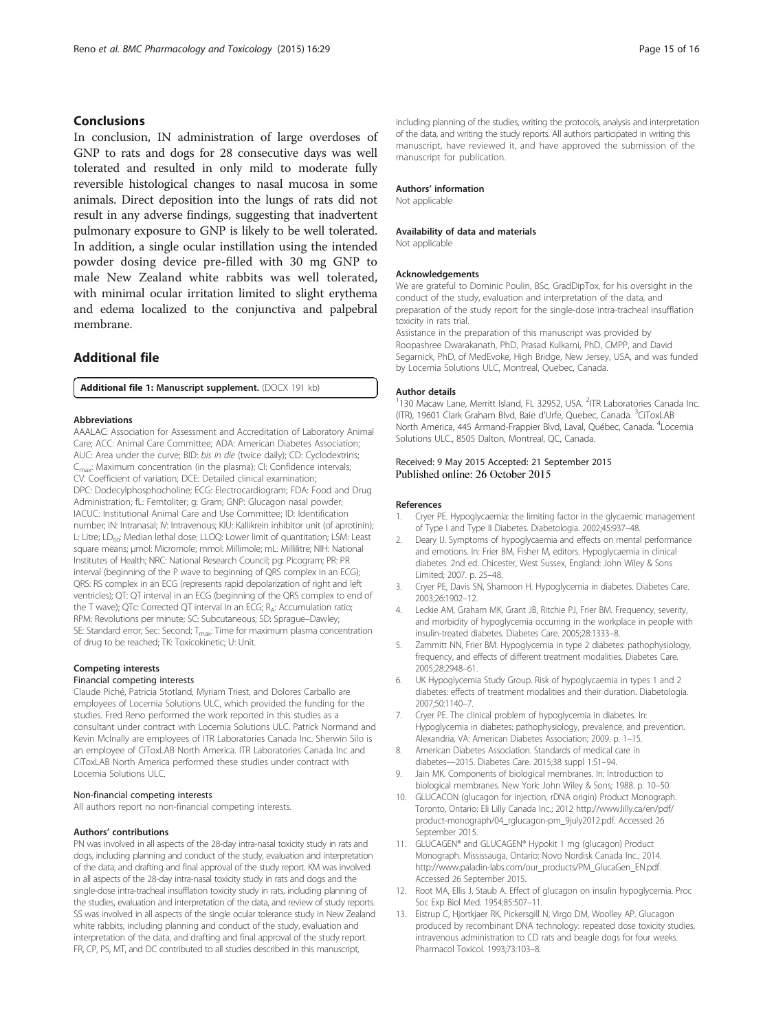## <span id="page-14-0"></span>Conclusions

In conclusion, IN administration of large overdoses of GNP to rats and dogs for 28 consecutive days was well tolerated and resulted in only mild to moderate fully reversible histological changes to nasal mucosa in some animals. Direct deposition into the lungs of rats did not result in any adverse findings, suggesting that inadvertent pulmonary exposure to GNP is likely to be well tolerated. In addition, a single ocular instillation using the intended powder dosing device pre-filled with 30 mg GNP to male New Zealand white rabbits was well tolerated, with minimal ocular irritation limited to slight erythema and edema localized to the conjunctiva and palpebral membrane.

## Additional file

[Additional file 1:](dx.doi.org/10.1186/s40360-015-0026-9) Manuscript supplement. (DOCX 191 kb)

#### Abbreviations

AAALAC: Association for Assessment and Accreditation of Laboratory Animal Care; ACC: Animal Care Committee; ADA: American Diabetes Association; AUC: Area under the curve; BID: bis in die (twice daily); CD: Cyclodextrins; C<sub>max</sub>: Maximum concentration (in the plasma); CI: Confidence intervals; CV: Coefficient of variation; DCE: Detailed clinical examination; DPC: Dodecylphosphocholine; ECG: Electrocardiogram; FDA: Food and Drug Administration; fL: Femtoliter; g: Gram; GNP: Glucagon nasal powder; IACUC: Institutional Animal Care and Use Committee; ID: Identification number; IN: Intranasal; IV: Intravenous; KIU: Kallikrein inhibitor unit (of aprotinin); L: Litre; LD<sub>50</sub>: Median lethal dose; LLOQ: Lower limit of quantitation; LSM: Least square means; μmol: Micromole; mmol: Millimole; mL: Millilitre; NIH: National Institutes of Health; NRC: National Research Council; pg: Picogram; PR: PR interval (beginning of the P wave to beginning of QRS complex in an ECG); QRS: RS complex in an ECG (represents rapid depolarization of right and left ventricles); QT: QT interval in an ECG (beginning of the QRS complex to end of the T wave); QTc: Corrected QT interval in an ECG; RA: Accumulation ratio; RPM: Revolutions per minute; SC: Subcutaneous; SD: Sprague–Dawley; SE: Standard error; Sec: Second; T<sub>max</sub>: Time for maximum plasma concentration of drug to be reached; TK: Toxicokinetic; U: Unit.

#### Competing interests

#### Financial competing interests

Claude Piché, Patricia Stotland, Myriam Triest, and Dolores Carballo are employees of Locemia Solutions ULC, which provided the funding for the studies. Fred Reno performed the work reported in this studies as a consultant under contract with Locemia Solutions ULC. Patrick Normand and Kevin McInally are employees of ITR Laboratories Canada Inc. Sherwin Silo is an employee of CiToxLAB North America. ITR Laboratories Canada Inc and CiToxLAB North America performed these studies under contract with Locemia Solutions ULC.

#### Non-financial competing interests

All authors report no non-financial competing interests.

## Authors' contributions

PN was involved in all aspects of the 28-day intra-nasal toxicity study in rats and dogs, including planning and conduct of the study, evaluation and interpretation of the data, and drafting and final approval of the study report. KM was involved in all aspects of the 28-day intra-nasal toxicity study in rats and dogs and the single-dose intra-tracheal insufflation toxicity study in rats, including planning of the studies, evaluation and interpretation of the data, and review of study reports. SS was involved in all aspects of the single ocular tolerance study in New Zealand white rabbits, including planning and conduct of the study, evaluation and interpretation of the data, and drafting and final approval of the study report. FR, CP, PS, MT, and DC contributed to all studies described in this manuscript,

including planning of the studies, writing the protocols, analysis and interpretation of the data, and writing the study reports. All authors participated in writing this manuscript, have reviewed it, and have approved the submission of the manuscript for publication.

#### Authors' information

Not applicable

## Availability of data and materials

Not applicable

#### Acknowledgements

We are grateful to Dominic Poulin, BSc, GradDipTox, for his oversight in the conduct of the study, evaluation and interpretation of the data, and preparation of the study report for the single-dose intra-tracheal insufflation toxicity in rats trial.

Assistance in the preparation of this manuscript was provided by Roopashree Dwarakanath, PhD, Prasad Kulkarni, PhD, CMPP, and David Segarnick, PhD, of MedEvoke, High Bridge, New Jersey, USA, and was funded by Locemia Solutions ULC, Montreal, Quebec, Canada.

#### Author details

<sup>1</sup>130 Macaw Lane, Merritt Island, FL 32952, USA. <sup>2</sup>ITR Laboratories Canada Inc (ITR), 19601 Clark Graham Blvd, Baie d'Urfe, Quebec, Canada. <sup>3</sup>CiToxLAB North America, 445 Armand-Frappier Blvd, Laval, Québec, Canada. <sup>4</sup>Locemia Solutions ULC., 8505 Dalton, Montreal, QC, Canada.

## Received: 9 May 2015 Accepted: 21 September 2015 Published online: 26 October 2015

#### References

- 1. Cryer PE. Hypoglycaemia: the limiting factor in the glycaemic management of Type I and Type II Diabetes. Diabetologia. 2002;45:937–48.
- 2. Deary IJ. Symptoms of hypoglycaemia and effects on mental performance and emotions. In: Frier BM, Fisher M, editors. Hypoglycaemia in clinical diabetes. 2nd ed. Chicester, West Sussex, England: John Wiley & Sons Limited; 2007. p. 25–48.
- 3. Cryer PE, Davis SN, Shamoon H. Hypoglycemia in diabetes. Diabetes Care. 2003;26:1902–12.
- 4. Leckie AM, Graham MK, Grant JB, Ritchie PJ, Frier BM. Frequency, severity, and morbidity of hypoglycemia occurring in the workplace in people with insulin-treated diabetes. Diabetes Care. 2005;28:1333–8.
- 5. Zammitt NN, Frier BM. Hypoglycemia in type 2 diabetes: pathophysiology, frequency, and effects of different treatment modalities. Diabetes Care. 2005;28:2948–61.
- 6. UK Hypoglycemia Study Group. Risk of hypoglycaemia in types 1 and 2 diabetes: effects of treatment modalities and their duration. Diabetologia. 2007;50:1140–7.
- 7. Cryer PE. The clinical problem of hypoglycemia in diabetes. In: Hypoglycemia in diabetes: pathophysiology, prevalence, and prevention. Alexandria, VA: American Diabetes Association; 2009. p. 1–15.
- 8. American Diabetes Association. Standards of medical care in diabetes—2015. Diabetes Care. 2015;38 suppl 1:S1–94.
- 9. Jain MK. Components of biological membranes. In: Introduction to biological membranes. New York: John Wiley & Sons; 1988. p. 10–50.
- 10. GLUCACON (glucagon for injection, rDNA origin) Product Monograph. Toronto, Ontario: Eli Lilly Canada Inc.; 2012 [http://www.lilly.ca/en/pdf/](http://www.lilly.ca/en/pdf/product-monograph/04_rglucagon-pm_9july2012.pdf) [product-monograph/04\\_rglucagon-pm\\_9july2012.pdf.](http://www.lilly.ca/en/pdf/product-monograph/04_rglucagon-pm_9july2012.pdf) Accessed 26 September 2015.
- 11. GLUCAGEN® and GLUCAGEN® Hypokit 1 mg (glucagon) Product Monograph. Mississauga, Ontario: Novo Nordisk Canada Inc.; 2014. [http://www.paladin-labs.com/our\\_products/PM\\_GlucaGen\\_EN.pdf.](http://www.paladin-labs.com/our_products/PM_GlucaGen_EN.pdf) Accessed 26 September 2015.
- 12. Root MA, Ellis J, Staub A. Effect of glucagon on insulin hypoglycemia. Proc Soc Exp Biol Med. 1954;85:507–11.
- 13. Eistrup C, Hjortkjaer RK, Pickersgill N, Virgo DM, Woolley AP. Glucagon produced by recombinant DNA technology: repeated dose toxicity studies, intravenous administration to CD rats and beagle dogs for four weeks. Pharmacol Toxicol. 1993;73:103–8.